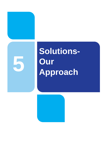

# **Solutions-Our Approach**

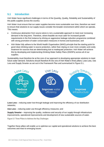# **5.1 Introduction**

Irish Water faces significant challenges in terms of the Quantity, Quality, Reliability and Sustainability of the public supplies across the country.

Irish Water must ensure that our water supplies become more sustainable over time, therefore we need to ensure that solutions to our supply issues consider the broader environment within which we operate. This means:

- Continuous abstraction from source alone is not a sustainable approach to meet ever increasing demand in the long term. Therefore, where feasible we must cater for increased growth requirements in the first instance by driving an aggressive leakage reduction programme combined with strong promotion of water conservation measures in homes and businesses; and
- Irish Water fully adhere to the World Health Organisation (WHO) principle that the starting point for good clean drinking water is source protection, rather than relying on ever more complex and costly treatment for sources that are deteriorating due to inadequate protection. Irish Water will achieve this by developing and implementing Drinking Water Safety Plans (DWSPs) across all of our supplies.

Sustainability must therefore be at the core of our approach to developing appropriate solutions to meet future water demand. Solutions should therefore fit into one of Irish Water's three pillars; Lose Less, Use Less and Supply Smarter as set out in the Framework Plan and summarised in Figure 5.1.



**Lose Less** – reducing water lost through leakage and improving the efficiency of our distribution networks;

**Use Less** – reducing water use through efficiency measures; and

**Supply Smarter** – improving the quality, resilience and security of our supply through infrastructure improvements, operational improvements and development of new sustainable sources of water.

**Figure 5.1 Three Pillars to Address the Key Challenges**

Together these pillars will enable us to optimise our capital and operational solutions to achieve the best outcomes and react to emerging issues.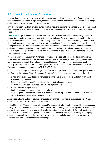# **5.2 Lose Less: Leakage Reduction**

Leakage is the loss of water from the distribution network. Leakage can occur from fractures and bursts, smaller holes and pinholes in pipe walls, leakage at joints, valves, service connections and other fittings and as a result of overflows at storage reservoirs.

Only a tiny proportion of leaks within our distribution networks come to the surface as visible leaks. Most water leakage is absorbed into the ground or escapes into sewers and drains, so cannot be seen at ground level.

The **Lose Less** pillar includes the actions which will improve our understanding of leakage, ways to reduce it and the tools required to help us to find and fix leaks. Activity to reduce leakage from the public distribution network was historically undertaken by Local Authorities and is now managed by Irish Water. Our supply network is built from a variety of pipe materials of different ages and differing quality control during construction. Good network and water-use information, expert knowledge, specialist equipment and rigorous management is therefore required to reduce and control leakage. As our water mains network ages, leakage will increase if we do not continue to invest in fixing leaks, leading to a Natural Rate of Leakage Rise (NRR).

In order to address leakage Irish Water are committed to a National Leakage Reduction Programme which includes measures such as pressure management, active leakage control (ALC) and targeted water mains replacement. The National Leakage Reduction Programme incorporates advice from industry specialists and authors of the European Commission produced reference document 'Good Practices on Leakage Management WFD CIS WG PoM<sup>1</sup>.

Our National Leakage Reduction Programme will be a major intervention to support growth over the timeframe of the National Water Resources Plan (NWRP). It aims to reduce our leakage through:

- Establishing over 4,500 district meter areas to enable us to monitor flows and identify areas of suspected high leakage;
- Establishing our Find and Fix activities to deliver active leakage control;
- Undertaking large-scale targeted water mains replacements;
- Valve and control replacement;
- Implementing pressure management controls; and
- Delivering the 'First Fix Free' initiative to address leaks on pipes, within the boundary of domestic properties where the customer has responsibility.

As operational data and understanding of asset performance of our networks improves Irish Water expect to be able to make further improvements.

In late 2018, Irish Water developed a Leakage Management System (LMS) which will help us to assess leakage trends in a uniform way across our supplies and to manage active leakage control activities. We are continuing to embed the system and develop its calibration, but it is already (and will continue) helping us to understand leakage across our distribution networks. We are also looking at emerging acoustic technologies and intelligence systems to allow us to optimise our active leakage control activities, and non-destructive testing technology.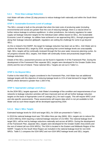#### **5.2.1 Three Step Leakage Reduction**

Irish Water will take a three (3) step process to reduce leakage both nationally and within the South West Region:

#### **STEP 1: Sustainable Economic Level of Leakage**

The SELL concept is built on the principle that when the total costs of producing water (including environmental and social) are greater than the cost of reducing leakage, there is a natural driver to further reduce leakage to achieve equilibrium. In other jurisdictions, the industry regulators for water supply set leakage reduction targets for the individual water utilities based on SELL, the Sustainable Economic Level of Leakage. As utilities have achieved or are approaching SELL, through progression along their leakage reduction glidepath, regulators are setting the challenge for some to go beyond SELL.

As this is Ireland's first NWRP, the target for leakage reduction has been set as SELL. Irish Water aim to achieve the National SELL target by 2034, recognising that current leakage levels are unacceptably high. SELL targets will be continually reviewed through the five-year water resources planning cycles. As we progress towards SELL targets, Irish Water will continually review and proactively target further leakage reductions.

Details of the SELL assessment process can be found in Appendix H of the Framework Plan. During the development of the Framework Plan separate SELL targets were developed for the Greater Dublin Area (GDA) and the rest of Ireland. These national SELL Targets are set out in Table 5.1.

#### **STEP 2: Go Beyond SELL**

Further to the initial SELL targets considered in the Framework Plan, Irish Water has set additional leakage targets with the objective of reducing leakage levels to 21% of total demand for larger WRZs (WRZs where demand is greater than  $1,500 \text{ m}^3/\text{d}$ ).

#### **STEP 3: Appropriate Leakage Level (ALL)**

As the 2034 SELL targets approach, Irish Water's knowledge of the condition and responsiveness of our networks to leakage reduction activities will have improved and we will set further leakage reduction targets on the basis of Appropriate Level of Leakage (ALL) for each supply. This will require WRZ Level and site-specific assessments. These assessments will require data which is not yet available to Irish Water and as such these targets will be developed approaching 2034.

#### **5.2.1.1 Step 1: SELL Targets**

Estimated leakage levels for 2019 and target SELL for 2034 are presented in Table 5.1.

In 2019 the national leakage level was 739 million litres per day (Ml/d). SELL targets aim to reduce this to 525.5 Ml/d by 2034 requiring a national leakage reduction of 213 Ml/d. The national leakage level target SELL will be met by leakage reductions nationally and across all WRZs. During the development of the Framework Plan, separate SELL targets were developed for the Greater Dublin Area (GDA) and the rest of Ireland (all non-GDA WRZs). The GDA is located in the Eastern and Midlands Region of the NWRP. Targets for the South West Region are included in the national leakage level for non-GDA WRZs. Table 5.1 compares the GDA WRZ and non-GDA WRZ leakage levels and SELL targets.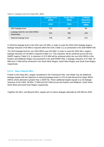#### **Table 5.1 Leakage Levels and Target SELL (Ml/d)**

|                                                | <b>Leakage Level</b><br>(MI/d)<br>2019 | <b>Target SELL</b><br>(MI/d)<br>2034 | Leakage<br><b>Reduction</b><br><b>Required</b><br>(MI/d) |
|------------------------------------------------|----------------------------------------|--------------------------------------|----------------------------------------------------------|
| GDA leakage level                              | 215                                    | 131                                  | 84                                                       |
| Leakage level for non-GDA WRZs<br>(Nationally) | 524                                    | 395                                  | 129                                                      |
| National leakage level                         | 739                                    | 526                                  | 213                                                      |

In 2019 the leakage level in the GDA was 215 Ml/d. In order to meet the 2034 GDA leakage target a leakage reduction of 84 Ml/d is required within the GDA (Table 5.1) as presented in the draft RWRP-EM.

The 2019 leakage level for non-GDA WRZs was 524 Ml/d. In order to meet the 2034 SELL target a leakage reduction of 129 Ml/d is required (Table 5.1). This reduction will be achieved across the four NWRP regions (Table 5.2). A reduction of 22.5 Ml/d will be achieved within the non-GDA WRZs in the Eastern and Midlands Region (as presented in the draft RWRP-EM). A leakage reduction of 57 Ml/d, 32 Ml/d and 17 Ml/d will be achieved in the South West Region, North West Region and South East Region respectively.

#### **5.2.1.2 Step 2: Beyond SELL**

Further to the initial SELL targets considered in the Framework Plan, Irish Water has set additional leakage targets with the objective of reducing leakage levels to 21% of total demand for larger WRZs (WRZs where demand is greater than 1,500m<sup>3</sup>/d). These additional targets equate to a net leakage reduction of 45.5 Ml/d, 39 Ml/d, 72 Ml/d and.30.5 Ml/d across the Eastern and Midlands, South West, North West and South East Region respectively.

Together the SELL and Beyond SELL targets aim to reduce leakage nationally by 400 Ml/d by 2034.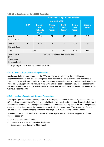|                                                      | <b>National Leakage Reduction (MI/d)</b> |                                                           |                                              |                                              |                                              |                                 |
|------------------------------------------------------|------------------------------------------|-----------------------------------------------------------|----------------------------------------------|----------------------------------------------|----------------------------------------------|---------------------------------|
|                                                      |                                          | <b>Non-GDA WRZs</b>                                       |                                              |                                              |                                              |                                 |
|                                                      | <b>GDA</b>                               | <b>Eastern</b><br>and<br><b>Midlands</b><br><b>Region</b> | <b>South</b><br><b>West</b><br><b>Region</b> | <b>North</b><br><b>West</b><br><b>Region</b> | <b>South</b><br><b>East</b><br><b>Region</b> | <b>National</b><br><b>Total</b> |
| Step 1:                                              | 84                                       | 22.5                                                      | 57                                           | 32                                           | 17                                           | 213                             |
| <b>SELL Target</b>                                   |                                          |                                                           |                                              |                                              |                                              |                                 |
| Step 2:                                              | $0^*$                                    | 45.5                                                      | 39                                           | 72                                           | 30.5                                         | 187                             |
| <b>Beyond SELL</b>                                   |                                          |                                                           |                                              |                                              |                                              |                                 |
| <b>Total</b>                                         |                                          | 152                                                       | 96                                           | 104                                          | 47.5                                         | 400                             |
| Step 3: Post<br>2034<br>Appropriate<br>Leakage Level | TBC Pending future data availability     |                                                           |                                              |                                              |                                              |                                 |

**Table 5.2 Leakage Levels and Target SELL Steps (Ml/d)**

\*Leakage Targets in GDA achieve 21% leakage in 2034.

#### **5.2.1.3 Step 3: Appropriate Leakage Level (ALL)**

As discussed above, as we approach the 2034 targets, our knowledge of the condition and responsiveness of our networks to leakage reduction activities will have improved and as we move towards 2034, we will set further leakage reduction targets on the basis of Appropriate Level of Leakage (ALL) for each supply. This will require WRZ Level and site-specific assessments. These assessments will require data which is not yet available to Irish Water and as such, these targets will be developed as we move closer to 2034.

### **5.2.2 Leakage Targets and Demand Forecasting**

Leakage targets are not automatically applied to the Supply Demand Balance (SDB) calculations. The SELL leakage target for the GDA has been prioritised, given the size of the supply demand deficit, and *is* incorporated into the SDB. Leakage outside of the GDA across all four regions of the NWRP is prioritised on an annual basis as part of the National Leakage Reduction programme. This allows Irish Water's leakage reduction programmes to be flexible and targeted, to meet specific emerging needs.

As set out in Section 4.3.3 of the Framework Plan leakage targets for 2019 were applied to priority supplies based on:

- Size of supply demand deficits
- Existing abstractions with sustainability issues
- Observed impacts during the 2018 drought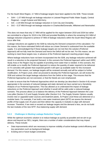For the South West Region, 3.7 Ml/d of leakage targets have been applied to the SDB. These include:

- SAH 1.07 MI/d through net leakage reduction in Listowel Regional Public Water Supply, Central Regional – Lough Guitane and Mid-Kerry.
- SAI 2.29 Ml/d through net leakage reduction in Cork City and Clonakilty.
- SAJ 0.37 Ml/d through net leakage reduction in Charlesville/Doneraile, Millstreet and Newmarket.

This does not mean that only 3.7 Ml/d will be applied for the region between 2019 and 2034 but rather we committed to a figure for 2019 in the SDB and provided flexibility in where the remaining 53.3 Ml/d of leakage reduction (required to achieve 57 Ml/d of leakage reductions within the South West Region) will occur after that.

Leakage reductions are applied to the SDB by reducing the Demand component of the calculation. For this reason, the future estimated Deficit will reduce as a lower Demand is subtracted from the available supply. It is acknowledged that if these leakage targets are not met then the solution (Preferred Approach) will not fully meet the Demand and hence the Deficit will not be met. For this reason, we are working to meet these targets now, in advance of the Preferred Approach reaching project stage.

Where leakage reductions have not been incorporated into the SDB, any leakage reduction achieved will result in a reduction to the projected Demand. In this scenario the Preferred Approach within each WRZ, Study Area or the Region may be capable of providing more water than is needed. In this scenario, this will enable us to modify the Preferred Approach to reduce the quantity of water required to be delivered or if it coincides with greater than expected growth it will open up available water for this increased demand. For this reason, our leakage targets will be reviewed annually and will be subject to further modification. At Project Level, when we proceed to develop the Preferred Approach, we will review the SDB and subtract the target leakage reductions from the Deficit at this stage. This ensures that the Preferred Approaches are not oversized, or that the Needs are over emphasized.

In order to ensure that the Preferred Approaches which we develop (as described in Section 6-8) remain appropriate in the scenario of reduced leakage and static demand we have carried out a Sensitivity Analysis of our Preferred Approaches. This has allowed us to understand the impact of leakage reductions on the Preferred Approach and whether it would still be valid under a reduced leakage scenario. This process allows us to balance the delivery of the Preferred Approach between the Lose Less pillar (Section 5.2) and Supply Smarter pillar (Section 5.4). The Supply Smarter Options usually involve new or upgraded water sources and treatment plants. At Project Level these are delivered on a modular basis. For example, if we build a new water treatment plant (WTP) we assess the demand profile of that supply over 25 years and then deliver the capacity in modules to align with demand increase. Therefore, if we meet or exceed our leakage targets and the demand is less, we do not build the last modules of the new WTP, thus balancing supply with demand.

#### **5.2.3 Challenges in Meeting Leakage Reduction Targets**

While the optimum economic solution is to reduce leakage as quickly as possible and we aim to go above and beyond our SELL targets, there are a number of wider considerations that may impact delivery. These include:

- Data improvements which are necessary to improve visibility of active leakage control efficiency and key parameters such as background leakage;
- Existing and or future budget constraints;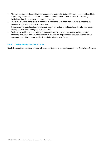- The availability of skilled and trained resources to undertake find and fix activity. It is not feasible to significantly increase the level of resource for a short duration. To do this would risk driving inefficiency into the leakage management process;
- There are planning constraints to consider in relation to shut offs when carrying out repairs, to maintain supply and pressure to customers;
- Repairs carry a social cost and impact particularly in relation to traffic delays, therefore spreading the impact over time manages this impact; and
- Technology and innovation improvements which are likely to improve active leakage control efficiency over time, and a number of trials in areas such as permanent acoustic sensors/smart networks, may offer more cost-effective solutions in the near future.

#### **5.2.4 Leakage Reduction in Cork City**

Box 5.1 presents an example of the work being carried out to reduce leakage in the South West Region.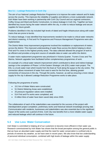#### **Box 5.1 – Leakage Reduction in Cork City**

The aim of our National Leakage Reduction Programme is to improve the water network and fix leaks across the country. This improves the reliability of supplies and delivers a more sustainable network. Irish Water have been working in partnership with Cork City Council and our regional contractors, Coffey Group and Ward and Burke Construction, to reduce leakage in Cork City. Together we have identified key issues facing the water network within the city, in order to reduce leakage and secure supplies for future growth.

Problems identified in the city included high levels of dated and fragile infrastructure along with water mains that are prone to bursts.

To reduce leakage, it was identified that improvements needed to be made to critical water networks and district metering. A Find and Fix Programme and Pressure Management Programme were also implemented.

The District Meter Area improvement programme involved the installation or replacement of meters across the district. This improved understanding of water flows across the district helping to direct Find and Fix crews to the highest priority areas. The data collected allowed the program of work to be efficient and provides a long-term source of valuable data on water use within the district.

A water mains replacement programme was prioritized in Victoria Quarter, Truners Cross and The Marina. Network upgrades here facilitated further complementary programmes of work.

An example of a critical water network improvement which contributed to direct and indirect leakage savings is the completion of Phase 1 of the Eastern Strategic Link (ESL) water main project. The ESL is a trunk water main which travels from the East at Tivoli along the quays to the city centre. The connection allows movement of water from east to west for the first time, allowing greater connectivity of resources in the city. Through the works, however, as well as ensuring a more robust supply for the city it allowed Leakage Reduction Programme works to take place.

Following the programme of works:

- 15.3 km of Water Mains were constructed:
- 51 District Metering Areas were established;
- 25 pressure regulation valves were installed;
- 514 Find and Fix works were completed; and
- 8 million litres of water have been saved daily since 2020.

The collaboration of each of the stakeholders was essential for the success of the project with interdependent project completion, preliminary works and historical network knowledge proving vital. Communication with residents, businesses and stakeholders was also essential due to the significant impact of the works over a period of time. Cork City now benefits from a more reliable water supply and reduced leakage which will continue in the future.

## **5.3 Use Less: Water Conservation**

Irish Water is committed to helping all of our customers to become more efficient in their water use. Research commissioned by Irish Water has shown that the broad perception among the general public is that we have an abundant water supply and that the need for water conservation is confined only to periods of extreme dry weather, as we have seen in recent years. We also know that low understanding of personal individual consumption, combined with high levels of leakage within the water supply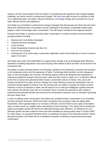network, and the misconception that Irish Water is not addressing the significant and complex leakage challenge, are further barriers to behavioural change. The **Use Less** pillar focuses on activities to help us to understand water use habits, influence behaviour, encourage change and to promote the use of water efficient devices and appliances.

Irish Water are committed to a behavioural change campaign that will educate and inform the end users about their individual water consumption and the challenges of providing a sustainable treated water supply in order to encourage water conservation. This will require investment and ongoing research.

Presently Irish Water is actively promoting water conservation in schools, business and communities through activities including:

- National and Local Media Campaigns
- Targeted Sectoral campaigns
- Green Schools
- Water Stewardship Scheme (see Box 5.2)
- First Fix Free Scheme
- Development of an online water conservation application which will provide tips on how to conserve water in the home

Irish Water also works with stakeholders to support policy change such as developing water efficiency standards in Building Regulations and social housing. More details of these activities can be found in the Framework Plan.

The ability to reduce Demand (based on technology, behaviour and metering) is uncertain and sensitive to the situational context and the awareness of Need. Technology offers benefits, but the changeover rates to new technologies are uncertain. Monitoring regimes need to be designed and maintained to understand significant changes that have been made and their result on water use. It is therefore difficult at this time to assess the potential benefit of water conservation activity in Ireland. Also, due to the funding mechanisms for water services, findings from water efficiency measures developed in the UK cannot be directly applied to Ireland. Over the coming years our ability to quantify the impact of these initiatives in terms of reduction in water use will improve as our data and intelligence systems become more refined. We will also work with our Innovation Team to review the potential for pilot studies to understand the potential benefits and outcomes for conservation measures such as rainwater harvesting and grey water reuse.

In order to address water conservation Irish Water has considered water conservation in our Domestic and Non-Domestic forecasts. Whilst Irish Water recognises that occupancy rates are falling within households, which typically leads to an increase in demand, we have held our per-capita consumption rates as static across our supplies when calculating our future forecasts. This means that increased per capita consumption growth will need to be addressed though water efficiency. An allowance for nondomestic growth has been made for towns and cities identified as strong growth areas in Project 2040<sup>2</sup>. For other areas, it is assumed that there will be no significant increase in non-domestic demand. Where demand increases, Irish Water will try to facilitate the growth via efficiency improvements and water conservation.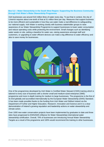#### **Box 5.2 – Water Stewardship in the South West Region: Supporting the Business Community through Irish Water's Water Stewardship Programme**

Irish businesses use around 510 million litres of water every day. To put that in context, the city of Limerick requires about one-tenth of that at 51 million litres per day. Measures that support business to be more efficient and sustainable in how they use water make a real difference to safeguarding our national supply. Irish Water is working closely with business stakeholder groups to raise awareness of our Water Stewardship Programme to support businesses to lower water consumption and reduce operating costs while protecting the environment. Small changes such as identifying water waste on site, setting a baseline for water use, raising awareness amongst staff and customers, or upgrading to water efficient devices can make a big difference to water efficiency and also to save money for businesses.



One of the programmes developed by Irish Water is Certified Water Steward (CWS) training which is tailored to every size of business with a shorter small and medium-sized enterprise (SME) programme and more in-depth training for medium to large businesses. The programme is the first of its kind globally and accredited internationally by the European Water Stewardship (EWS) Standard. It has been made possible thanks to the funding from Irish Water and Skillnet Ireland via the Department of Further and Higher Education, Research, Innovation and Science and it is a clear demonstration of Ireland's growing reputation and leadership actions on water stewardship and climate action.

Over 1000 new water conservation projects have been implemented by graduates to date and three sites have progressed to EWS/AWS (Alliance for Water Stewardship) international water stewardship certification. Overall, 70% of businesses are introducing Annual Water Stewardship Targets as a result of the programme and 100% would recommend the training to other businesses.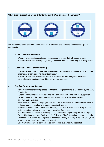#### **What Green Credentials are on Offer to the South West Business Community?**



We are offering three different opportunities for businesses of all sizes to enhance their green credentials:

#### **1. Water Conservation Pledge**

- We are inviting businesses to commit to making changes that will conserve water.
- Businesses can share their pledge badge on social media to show they are taking action.

#### **2. Sustainable Water Partner Training**

- Businesses are invited to take free online water stewardship training and learn about the importance of safeguarding this critical resource.
- Businesses can share their new Sustainable Water Partner badge on marketing materials/social media and add it to their green credentials.

#### **3. Certified Stewardship Training**

- Achieve international best practice certification. The programme is accredited by the EWS Standards.
- Funded Programme by Irish Water and the Lean & Green Skillnet with the support of Skillnet Ireland and the Department of Further and Higher Education, Research, Innovation and Science.
- Save water and money. The programme will provide you with the knowledge and skills to reduce water consumption and operating costs at your site.
- Protect the environment. You will learn the key principles of water stewardship and the actions required to improve your environmental performance.
- The programme is the first of its kind globally and is fully supported by the EPA, Origin Green, Irish Business and Employees Confederation (Ibec), Chambers Ireland, Industrial Development Authority Ireland (IDA), (Sustainable Energy Authority of Ireland) SEAI, Bord Iascaigh Mhara (BIM) and Enterprise Ireland.
- Origin Green accept our certification as part of their sustainability credential.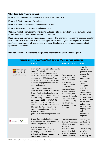#### **What does CWS Training deliver?**

- **Module 1** Introduction to water stewardship the business case
- **Module 2** Water mapping of your business
- **Module 3** Water conservation and quick wins at your site
- **Module 4** Developing a strategy and action plan

**Optional workshops/webinars** - Mentoring and support for the development of your Water Charter as well as providing peer to peer learning opportunities.

**Develop a water charter for your site assessment** - The charter will capture the business case for action, your site's water map, water saving opportunities and an agreed action plan. To achieve certification, participants will be expected to present this charter to senior management and get approval for implementation.

#### **How has the water stewardship programme supported the South West Region?**

| <b>Testimonials from our South West Certified Water Steward Graduates</b> |                                                                                                                                                                                                                                                                                                                                                                                                                                                                                                                                                                                                                                                                                                                                                  |                                                                                                                                                                                                                                                                                                                |                                                                                                                                                                                                                                                                                                                                                             |  |  |  |  |
|---------------------------------------------------------------------------|--------------------------------------------------------------------------------------------------------------------------------------------------------------------------------------------------------------------------------------------------------------------------------------------------------------------------------------------------------------------------------------------------------------------------------------------------------------------------------------------------------------------------------------------------------------------------------------------------------------------------------------------------------------------------------------------------------------------------------------------------|----------------------------------------------------------------------------------------------------------------------------------------------------------------------------------------------------------------------------------------------------------------------------------------------------------------|-------------------------------------------------------------------------------------------------------------------------------------------------------------------------------------------------------------------------------------------------------------------------------------------------------------------------------------------------------------|--|--|--|--|
|                                                                           | <b>About</b>                                                                                                                                                                                                                                                                                                                                                                                                                                                                                                                                                                                                                                                                                                                                     | <b>Benefits of CWS</b>                                                                                                                                                                                                                                                                                         | <b>Wins</b>                                                                                                                                                                                                                                                                                                                                                 |  |  |  |  |
| University College Cork,<br>Coláiste na hOllscoile Corcaigh               | University College Cork offers a wide<br>range of academic programs at<br>undergraduate and postgraduate<br>level. The University has c. 23,600<br>students; c. 15,700 of these follow<br>undergraduate programmes, while c.<br>5,300 are engaged in postgraduate<br>study and research.<br>The University was the first<br>University in the world to achieve the<br>Green Flag from the foundation for<br>Environmental Education (2010), the<br>first University to achieve ISO 50001<br>certification (2011). In 2018, UCC<br>was the first university outside of<br>North America to be awarded a Gold<br>Star from the Association for the<br>Advancement of Sustainability in<br>Higher Education.<br>(https://www.ucc.ie/en/greencampus/ | The program gave<br>the Estates Office<br>the space and time<br>to re-assess the<br>University's water<br>conservation<br>program. With the<br>assistance of the<br>expert tutors, the<br>program delivered a<br>clear roadmap to<br>UCC for refreshing<br>the Universities<br>water conservation<br>campaign. | Using the<br>knowledge<br>gained from the<br>program the<br>University<br>developed its<br>own water<br>charter,<br>identifying a<br>series of<br>initiatives to<br>conserve water<br>use across the<br>University as well<br>as refreshing our<br>internal policy<br>and guidance<br>documents for<br>ongoing building<br>and<br>refurbishment<br>programs |  |  |  |  |
| GILEAD                                                                    | Gilead Sciences Ireland operations<br>are located in Carrigtwohill Industrial<br>Estate Carrigtwohill, Co. Cork<br>and are responsible for<br>manufacturing, quality control,<br>packaging, and the release and<br>distribution of Gilead products in the<br>European Union and other                                                                                                                                                                                                                                                                                                                                                                                                                                                            | The Certified Water<br><b>Steward Programme</b><br>educates system<br>owners to<br>understand water<br>usage within their<br>facility and engage<br>with stakeholders,                                                                                                                                         | This programme<br>facilitated the<br>creation of the<br>Cork<br>Manufacturing<br>site Water<br>Charter and<br>Water Map. In                                                                                                                                                                                                                                 |  |  |  |  |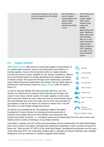international locations such as the countries supported by the Gilead Access Program.

this information is used to support communication and culture change around water reduction/recycling on site.

2021 funding was approved to create a digital water map to baseline water usage and identify opportunities and leaks. Significant Water users have been identified with our 1st rain water harvesting capital project being complete in 2021 supplying rain water to our boiler feedwater system.

# **5.4 Supply Smarter**

The **Supply Smarter** pillar actions to proactively engage in the protection of our natural water resources, improve the performance and resilience of existing supplies, improve interconnectivity within our supply networks, increase the amount of water available for use, improve compliance, address the environmental impacts of existing abstractions and mitigate the impacts of climate change. We support this through asset maintenance, operations and by delivering process optimisation and training. The key Option types for infrastructure improvements under the **Supply Smarter** pillar are listed in Figure 5.2.

As well as reducing leakage and improving water efficiency, we must develop our infrastructure to improve interconnectivity and storage, and create a more robust, smarter system. Our water supplies in some areas often come from small local rivers, which can have an environmental impact. We must therefore look at all of our water sources from rivers and lakes to groundwater so that we can reduce our reliance on these rivers. This will also allow us to take climate change into account.

All Options are considered at the 'Unconstrained' stage in the Option Development Process (Section 6) including technical assessment of transfers across Water Resource Zones (WRZs), and interactions with



**Figure 5.2 Option Types** 

private Group Water Schemes, i.e., cumulative assessment of abstractions from the same source, and Options which consider connecting to Group Water Schemes.

Irish Water's currently have 247 surface and groundwater sources located within the South West Region. Each source needs to be utilised, managed and maintained sustainably in order to protect the source for future use. There are also 227 WTPs in the South West Region. Development and growth over the years means that some WTPs are undersized, treating water in quantities far beyond what they were originally designed for and so investment is needed to upgrade these facilities.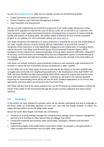As part of our **Supply Smarter** pillar we are currently carrying out the following activities:

- Capital Investment and Improved Operations
- Source Protection and Catchment Management Activities
- Data Acquisition and Improvement

We are currently implementing an investment programme in our water supply infrastructure which includes WTP upgrades to improve the Level of Service (LoS) we can provide to our customers. We have numerous water supply improvement projects and programmes in progress, to improve both the Quality and Quantity of drinking water. We publish details of planned, live and recently completed projects on our website. For more information please visit [www.water.ie.](http://www.water.ie/)

Irish Water recognises the importance of source protection in ensuring the security and sustainability of our water supplies and are currently working with key stakeholders to promote this concept. In recognition of the importance of multi-stakeholder engagement and collaboration in managing shared natural resources, Irish Water have formed a group of Environmental Protection Agency (EPA), Geological Survey Ireland (GSI), National Federation of Group Water Schemes (NFGWS), Department of Housing Local Government and Heritage (DHLGH) and Independent experts to provide steering on the strategy, objectives and high-level activities needed to ensure the concepts of the three pillars are consolidated.

Irish Water are actively involved in source protection projects to trial catchment scale interventions for example to reduce the risk of pesticides causing exceedances in water supplies.

As Irish Water are at the initial stages of resource planning we are relying on the best available data, surrogate data and trends from neighbouring jurisdictions in the development of the draft RWRP-SW SDB. We have identified the data improvements which will be required to support best practice in the future and have invested in systems to manage it. Overtime we will build on the existing database improving our understanding which will be fed into the SDB. Detailed explanations of our current data approaches and future plans can be found in the Framework Plan.

Irish Water will also look at the waste produced from our WTPs (known as residual waste) to reduce the impact of this waste on the environment through the circular economy approach and nature-based solutions.

# **5.5 Summary**

In this section we have outlined the activities which we are already undertaking and plan to undertake in the future under our three-pillar approach to Lose Less, Use Less and Supply Smarter, to reduce the supply demand deficits across the public water supply.

Across the South West Region Irish Water are committed to:

- Carrying out ongoing leakage management including active leakage control, pressure management and find and fix activities to offset Natural Rate of Leakage Rise (NRR).
- Continuing household and business water conservation campaigns, initiatives and education programmes.
- Implementing legally enforceable Water Conservation Orders, as required, in drought periods in order to protect the environment and our public water supplies.